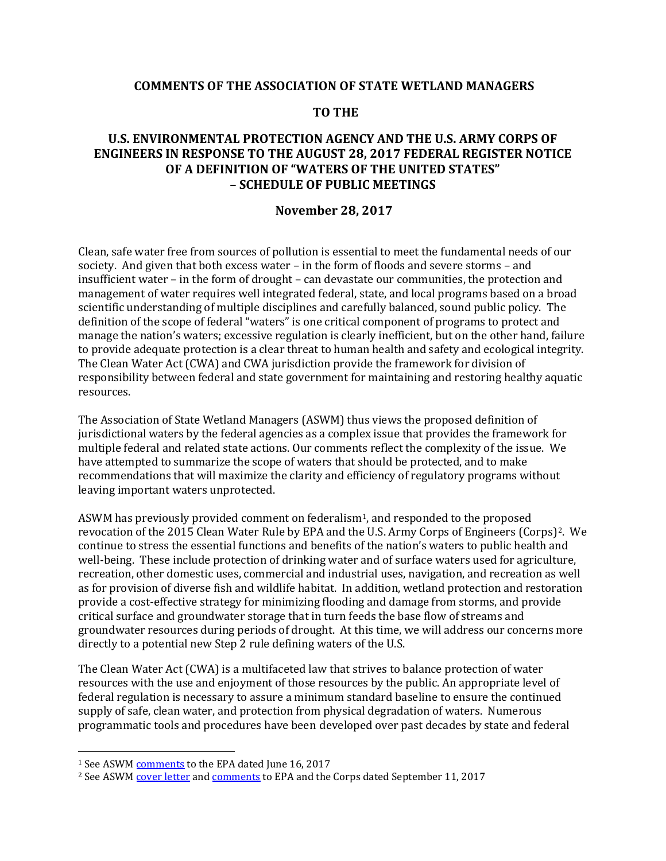## **COMMENTS OF THE ASSOCIATION OF STATE WETLAND MANAGERS**

### **TO THE**

# **U.S. ENVIRONMENTAL PROTECTION AGENCY AND THE U.S. ARMY CORPS OF ENGINEERS IN RESPONSE TO THE AUGUST 28, 2017 FEDERAL REGISTER NOTICE OF A DEFINITION OF "WATERS OF THE UNITED STATES" – SCHEDULE OF PUBLIC MEETINGS**

#### **November 28, 2017**

Clean, safe water free from sources of pollution is essential to meet the fundamental needs of our society. And given that both excess water – in the form of floods and severe storms – and insufficient water – in the form of drought – can devastate our communities, the protection and management of water requires well integrated federal, state, and local programs based on a broad scientific understanding of multiple disciplines and carefully balanced, sound public policy. The definition of the scope of federal "waters" is one critical component of programs to protect and manage the nation's waters; excessive regulation is clearly inefficient, but on the other hand, failure to provide adequate protection is a clear threat to human health and safety and ecological integrity. The Clean Water Act (CWA) and CWA jurisdiction provide the framework for division of responsibility between federal and state government for maintaining and restoring healthy aquatic resources.

The Association of State Wetland Managers (ASWM) thus views the proposed definition of jurisdictional waters by the federal agencies as a complex issue that provides the framework for multiple federal and related state actions. Our comments reflect the complexity of the issue. We have attempted to summarize the scope of waters that should be protected, and to make recommendations that will maximize the clarity and efficiency of regulatory programs without leaving important waters unprotected.

ASWM has previously provided comment on federalism<sup>[1](#page-0-0)</sup>, and responded to the proposed revocation of the 2015 Clean Water Rule by EPA and the U.S. Army Corps of Engineers (Corps)[2](#page-0-1). We continue to stress the essential functions and benefits of the nation's waters to public health and well-being. These include protection of drinking water and of surface waters used for agriculture, recreation, other domestic uses, commercial and industrial uses, navigation, and recreation as well as for provision of diverse fish and wildlife habitat. In addition, wetland protection and restoration provide a cost-effective strategy for minimizing flooding and damage from storms, and provide critical surface and groundwater storage that in turn feeds the base flow of streams and groundwater resources during periods of drought. At this time, we will address our concerns more directly to a potential new Step 2 rule defining waters of the U.S.

The Clean Water Act (CWA) is a multifaceted law that strives to balance protection of water resources with the use and enjoyment of those resources by the public. An appropriate level of federal regulation is necessary to assure a minimum standard baseline to ensure the continued supply of safe, clean water, and protection from physical degradation of waters. Numerous programmatic tools and procedures have been developed over past decades by state and federal

 $\overline{a}$ 

<span id="page-0-1"></span><span id="page-0-0"></span><sup>&</sup>lt;sup>1</sup> See ASWM comments [to](https://www.aswm.org/pdf_lib/final_aswm_cover_letter_for_step_1_comments.pdf) th[e EPA dated](https://www.aswm.org/pdf_lib/final_comments_of_aswm_wotus_step_1_rule.pdf) June 16, 2017<br><sup>2</sup> See ASWM cover letter and comments to EPA and the Corps dated September 11, 2017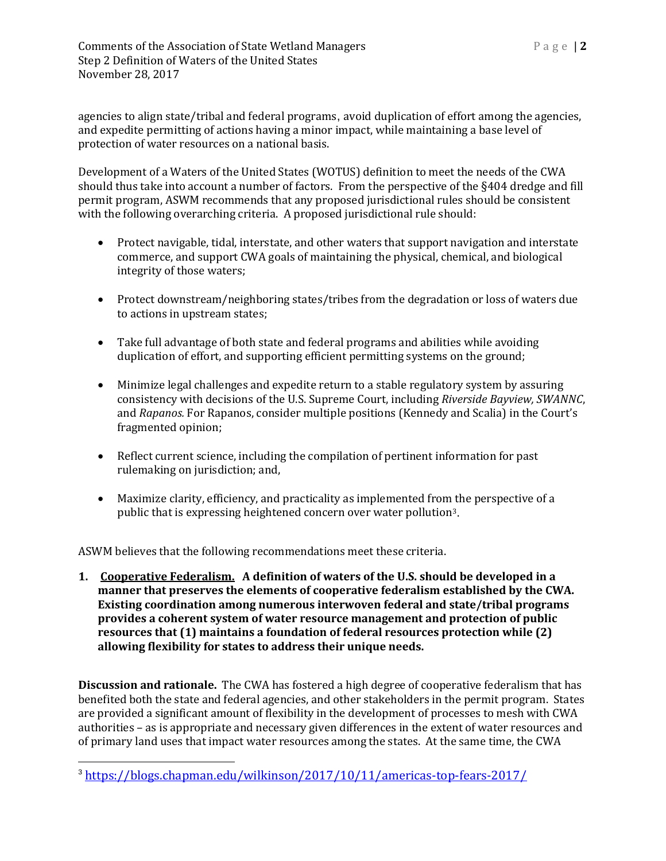agencies to align state/tribal and federal programs, avoid duplication of effort among the agencies, and expedite permitting of actions having a minor impact, while maintaining a base level of protection of water resources on a national basis.

Development of a Waters of the United States (WOTUS) definition to meet the needs of the CWA should thus take into account a number of factors. From the perspective of the §404 dredge and fill permit program, ASWM recommends that any proposed jurisdictional rules should be consistent with the following overarching criteria. A proposed jurisdictional rule should:

- Protect navigable, tidal, interstate, and other waters that support navigation and interstate commerce, and support CWA goals of maintaining the physical, chemical, and biological integrity of those waters;
- Protect downstream/neighboring states/tribes from the degradation or loss of waters due to actions in upstream states;
- Take full advantage of both state and federal programs and abilities while avoiding duplication of effort, and supporting efficient permitting systems on the ground;
- Minimize legal challenges and expedite return to a stable regulatory system by assuring consistency with decisions of the U.S. Supreme Court, including *Riverside Bayview, SWANNC*, and *Rapanos.* For Rapanos, consider multiple positions (Kennedy and Scalia) in the Court's fragmented opinion;
- Reflect current science, including the compilation of pertinent information for past rulemaking on jurisdiction; and,
- Maximize clarity, efficiency, and practicality as implemented from the perspective of a public that is expressing heightened concern over water pollution[3](#page-1-0).

ASWM believes that the following recommendations meet these criteria.

**1. Cooperative Federalism. A definition of waters of the U.S. should be developed in a manner that preserves the elements of cooperative federalism established by the CWA. Existing coordination among numerous interwoven federal and state/tribal programs provides a coherent system of water resource management and protection of public resources that (1) maintains a foundation of federal resources protection while (2) allowing flexibility for states to address their unique needs.** 

**Discussion and rationale.** The CWA has fostered a high degree of cooperative federalism that has benefited both the state and federal agencies, and other stakeholders in the permit program. States are provided a significant amount of flexibility in the development of processes to mesh with CWA authorities – as is appropriate and necessary given differences in the extent of water resources and of primary land uses that impact water resources among the states. At the same time, the CWA

<span id="page-1-0"></span><sup>3</sup> <https://blogs.chapman.edu/wilkinson/2017/10/11/americas-top-fears-2017/>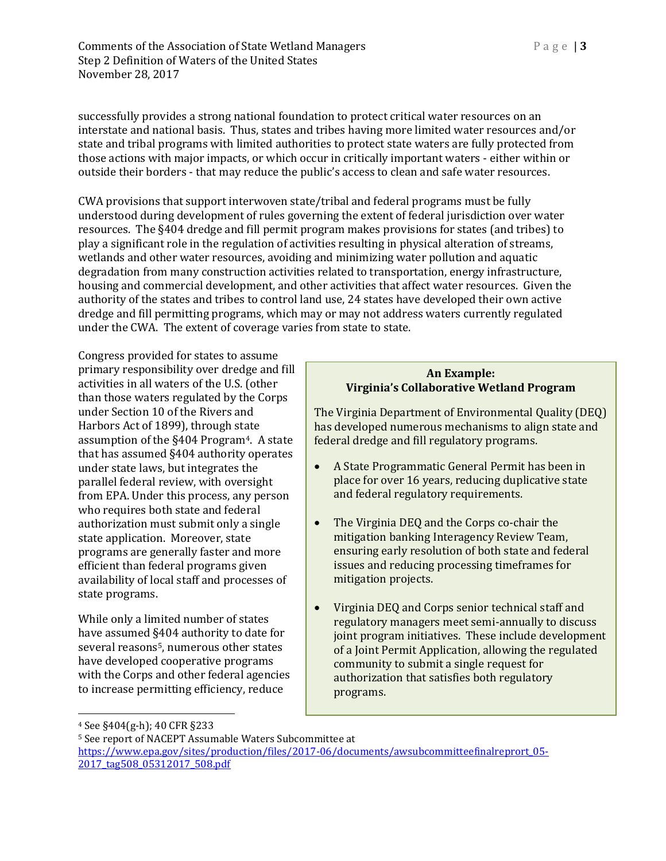successfully provides a strong national foundation to protect critical water resources on an interstate and national basis. Thus, states and tribes having more limited water resources and/or state and tribal programs with limited authorities to protect state waters are fully protected from those actions with major impacts, or which occur in critically important waters - either within or outside their borders - that may reduce the public's access to clean and safe water resources.

CWA provisions that support interwoven state/tribal and federal programs must be fully understood during development of rules governing the extent of federal jurisdiction over water resources. The §404 dredge and fill permit program makes provisions for states (and tribes) to play a significant role in the regulation of activities resulting in physical alteration of streams, wetlands and other water resources, avoiding and minimizing water pollution and aquatic degradation from many construction activities related to transportation, energy infrastructure, housing and commercial development, and other activities that affect water resources. Given the authority of the states and tribes to control land use, 24 states have developed their own active dredge and fill permitting programs, which may or may not address waters currently regulated under the CWA. The extent of coverage varies from state to state.

Congress provided for states to assume primary responsibility over dredge and fill activities in all waters of the U.S. (other than those waters regulated by the Corps under Section 10 of the Rivers and Harbors Act of 1899), through state assumption of the §404 Program[4](#page-2-0). A state that has assumed §404 authority operates under state laws, but integrates the parallel federal review, with oversight from EPA. Under this process, any person who requires both state and federal authorization must submit only a single state application. Moreover, state programs are generally faster and more efficient than federal programs given availability of local staff and processes of state programs.

While only a limited number of states have assumed §404 authority to date for several reasons<sup>[5](#page-2-1)</sup>, numerous other states have developed cooperative programs with the Corps and other federal agencies to increase permitting efficiency, reduce

#### **An Example: Virginia's Collaborative Wetland Program**

The Virginia Department of Environmental Quality (DEQ) has developed numerous mechanisms to align state and federal dredge and fill regulatory programs.

- A State Programmatic General Permit has been in place for over 16 years, reducing duplicative state and federal regulatory requirements.
- The Virginia DEQ and the Corps co-chair the mitigation banking Interagency Review Team, ensuring early resolution of both state and federal issues and reducing processing timeframes for mitigation projects.
- Virginia DEQ and Corps senior technical staff and regulatory managers meet semi-annually to discuss joint program initiatives. These include development of a Joint Permit Application, allowing the regulated community to submit a single request for authorization that satisfies both regulatory programs.

 $\overline{a}$ 

<span id="page-2-0"></span><sup>4</sup> See §404(g-h); 40 CFR §233

<span id="page-2-1"></span><sup>5</sup> See report of NACEPT Assumable Waters Subcommittee at

[https://www.epa.gov/sites/production/files/2017-06/documents/awsubcommitteefinalreprort\\_05-](https://www.epa.gov/sites/production/files/2017-06/documents/awsubcommitteefinalreprort_05-2017_tag508_05312017_508.pdf) [2017\\_tag508\\_05312017\\_508.pdf](https://www.epa.gov/sites/production/files/2017-06/documents/awsubcommitteefinalreprort_05-2017_tag508_05312017_508.pdf)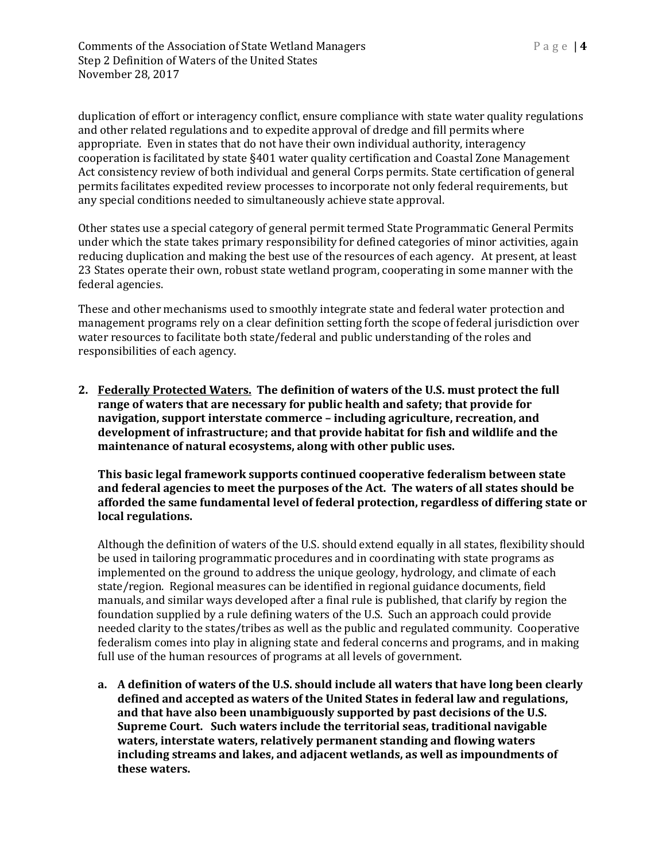duplication of effort or interagency conflict, ensure compliance with state water quality regulations and other related regulations and to expedite approval of dredge and fill permits where appropriate. Even in states that do not have their own individual authority, interagency cooperation is facilitated by state §401 water quality certification and Coastal Zone Management Act consistency review of both individual and general Corps permits. State certification of general permits facilitates expedited review processes to incorporate not only federal requirements, but any special conditions needed to simultaneously achieve state approval.

Other states use a special category of general permit termed State Programmatic General Permits under which the state takes primary responsibility for defined categories of minor activities, again reducing duplication and making the best use of the resources of each agency. At present, at least 23 States operate their own, robust state wetland program, cooperating in some manner with the federal agencies.

These and other mechanisms used to smoothly integrate state and federal water protection and management programs rely on a clear definition setting forth the scope of federal jurisdiction over water resources to facilitate both state/federal and public understanding of the roles and responsibilities of each agency.

**2. Federally Protected Waters. The definition of waters of the U.S. must protect the full range of waters that are necessary for public health and safety; that provide for navigation, support interstate commerce – including agriculture, recreation, and development of infrastructure; and that provide habitat for fish and wildlife and the maintenance of natural ecosystems, along with other public uses.**

**This basic legal framework supports continued cooperative federalism between state and federal agencies to meet the purposes of the Act. The waters of all states should be afforded the same fundamental level of federal protection, regardless of differing state or local regulations.** 

Although the definition of waters of the U.S. should extend equally in all states, flexibility should be used in tailoring programmatic procedures and in coordinating with state programs as implemented on the ground to address the unique geology, hydrology, and climate of each state/region. Regional measures can be identified in regional guidance documents, field manuals, and similar ways developed after a final rule is published, that clarify by region the foundation supplied by a rule defining waters of the U.S. Such an approach could provide needed clarity to the states/tribes as well as the public and regulated community. Cooperative federalism comes into play in aligning state and federal concerns and programs, and in making full use of the human resources of programs at all levels of government.

**a. A definition of waters of the U.S. should include all waters that have long been clearly defined and accepted as waters of the United States in federal law and regulations, and that have also been unambiguously supported by past decisions of the U.S. Supreme Court. Such waters include the territorial seas, traditional navigable waters, interstate waters, relatively permanent standing and flowing waters including streams and lakes, and adjacent wetlands, as well as impoundments of these waters.**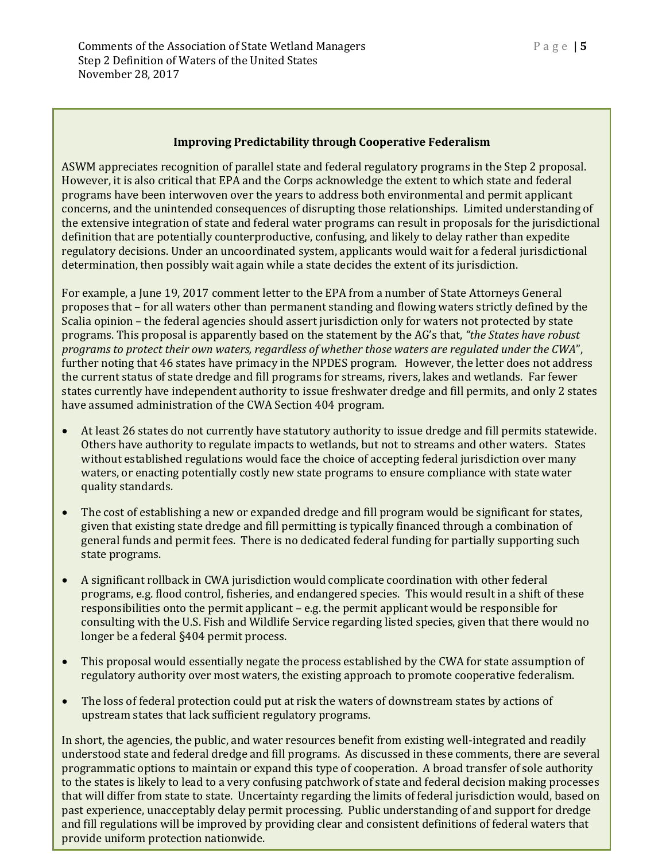# **Improving Predictability through Cooperative Federalism**

ASWM appreciates recognition of parallel state and federal regulatory programs in the Step 2 proposal. However, it is also critical that EPA and the Corps acknowledge the extent to which state and federal programs have been interwoven over the years to address both environmental and permit applicant concerns, and the unintended consequences of disrupting those relationships. Limited understanding of the extensive integration of state and federal water programs can result in proposals for the jurisdictional definition that are potentially counterproductive, confusing, and likely to delay rather than expedite regulatory decisions. Under an uncoordinated system, applicants would wait for a federal jurisdictional determination, then possibly wait again while a state decides the extent of its jurisdiction.

For example, a June 19, 2017 comment letter to the EPA from a number of State Attorneys General proposes that – for all waters other than permanent standing and flowing waters strictly defined by the Scalia opinion – the federal agencies should assert jurisdiction only for waters not protected by state programs. This proposal is apparently based on the statement by the AG's that, *"the States have robust programs to protect their own waters, regardless of whether those waters are regulated under the CWA*", further noting that 46 states have primacy in the NPDES program. However, the letter does not address the current status of state dredge and fill programs for streams, rivers, lakes and wetlands. Far fewer states currently have independent authority to issue freshwater dredge and fill permits, and only 2 states have assumed administration of the CWA Section 404 program.

- At least 26 states do not currently have statutory authority to issue dredge and fill permits statewide. Others have authority to regulate impacts to wetlands, but not to streams and other waters. States without established regulations would face the choice of accepting federal jurisdiction over many waters, or enacting potentially costly new state programs to ensure compliance with state water quality standards.
- The cost of establishing a new or expanded dredge and fill program would be significant for states, given that existing state dredge and fill permitting is typically financed through a combination of general funds and permit fees. There is no dedicated federal funding for partially supporting such state programs.
- A significant rollback in CWA jurisdiction would complicate coordination with other federal programs, e.g. flood control, fisheries, and endangered species. This would result in a shift of these responsibilities onto the permit applicant – e.g. the permit applicant would be responsible for consulting with the U.S. Fish and Wildlife Service regarding listed species, given that there would no longer be a federal §404 permit process.
- This proposal would essentially negate the process established by the CWA for state assumption of regulatory authority over most waters, the existing approach to promote cooperative federalism.
- The loss of federal protection could put at risk the waters of downstream states by actions of upstream states that lack sufficient regulatory programs.

In short, the agencies, the public, and water resources benefit from existing well-integrated and readily understood state and federal dredge and fill programs. As discussed in these comments, there are several programmatic options to maintain or expand this type of cooperation. A broad transfer of sole authority to the states is likely to lead to a very confusing patchwork of state and federal decision making processes that will differ from state to state. Uncertainty regarding the limits of federal jurisdiction would, based on past experience, unacceptably delay permit processing. Public understanding of and support for dredge and fill regulations will be improved by providing clear and consistent definitions of federal waters that provide uniform protection nationwide.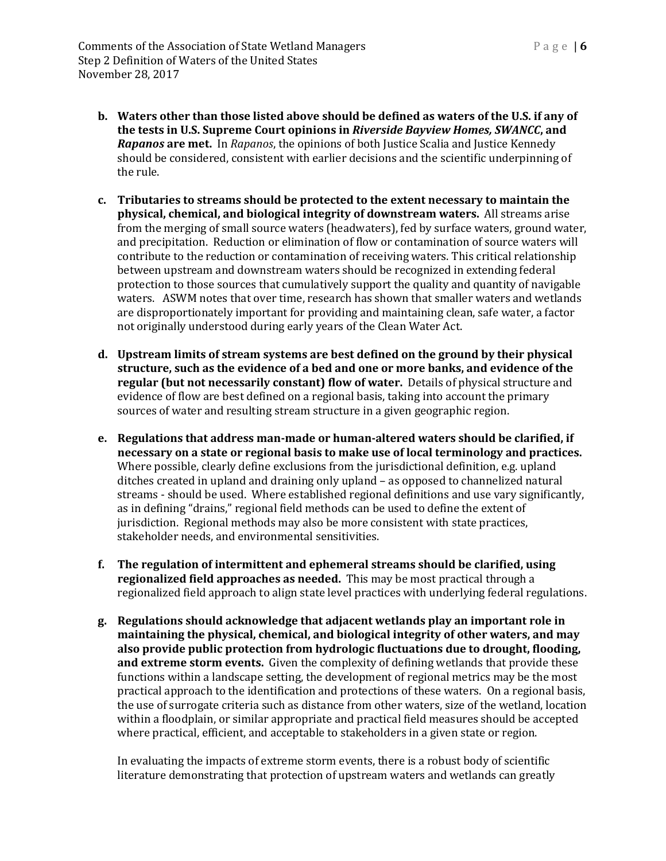- **b. Waters other than those listed above should be defined as waters of the U.S. if any of the tests in U.S. Supreme Court opinions in** *Riverside Bayview Homes, SWANCC***, and**  *Rapanos* **are met.** In *Rapanos*, the opinions of both Justice Scalia and Justice Kennedy should be considered, consistent with earlier decisions and the scientific underpinning of the rule.
- **c. Tributaries to streams should be protected to the extent necessary to maintain the physical, chemical, and biological integrity of downstream waters.** All streams arise from the merging of small source waters (headwaters), fed by surface waters, ground water, and precipitation. Reduction or elimination of flow or contamination of source waters will contribute to the reduction or contamination of receiving waters. This critical relationship between upstream and downstream waters should be recognized in extending federal protection to those sources that cumulatively support the quality and quantity of navigable waters. ASWM notes that over time, research has shown that smaller waters and wetlands are disproportionately important for providing and maintaining clean, safe water, a factor not originally understood during early years of the Clean Water Act.
- **d. Upstream limits of stream systems are best defined on the ground by their physical structure, such as the evidence of a bed and one or more banks, and evidence of the regular (but not necessarily constant) flow of water.** Details of physical structure and evidence of flow are best defined on a regional basis, taking into account the primary sources of water and resulting stream structure in a given geographic region.
- **e. Regulations that address man-made or human-altered waters should be clarified, if necessary on a state or regional basis to make use of local terminology and practices.**  Where possible, clearly define exclusions from the jurisdictional definition, e.g. upland ditches created in upland and draining only upland – as opposed to channelized natural streams - should be used. Where established regional definitions and use vary significantly, as in defining "drains," regional field methods can be used to define the extent of jurisdiction. Regional methods may also be more consistent with state practices, stakeholder needs, and environmental sensitivities.
- **f. The regulation of intermittent and ephemeral streams should be clarified, using regionalized field approaches as needed.** This may be most practical through a regionalized field approach to align state level practices with underlying federal regulations.
- **g. Regulations should acknowledge that adjacent wetlands play an important role in maintaining the physical, chemical, and biological integrity of other waters, and may also provide public protection from hydrologic fluctuations due to drought, flooding, and extreme storm events.** Given the complexity of defining wetlands that provide these functions within a landscape setting, the development of regional metrics may be the most practical approach to the identification and protections of these waters. On a regional basis, the use of surrogate criteria such as distance from other waters, size of the wetland, location within a floodplain, or similar appropriate and practical field measures should be accepted where practical, efficient, and acceptable to stakeholders in a given state or region.

In evaluating the impacts of extreme storm events, there is a robust body of scientific literature demonstrating that protection of upstream waters and wetlands can greatly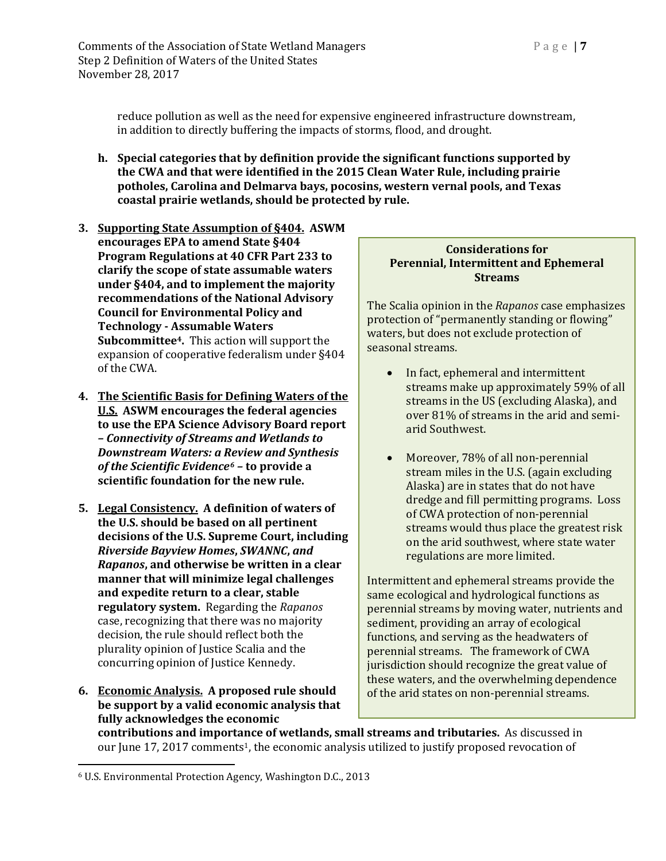reduce pollution as well as the need for expensive engineered infrastructure downstream, in addition to directly buffering the impacts of storms, flood, and drought.

- **h. Special categories that by definition provide the significant functions supported by the CWA and that were identified in the 2015 Clean Water Rule, including prairie potholes, Carolina and Delmarva bays, pocosins, western vernal pools, and Texas coastal prairie wetlands, should be protected by rule.**
- **3. Supporting State Assumption of §404. ASWM encourages EPA to amend State §404 Program Regulations at 40 CFR Part 233 to clarify the scope of state assumable waters under §404, and to implement the majority recommendations of the National Advisory Council for Environmental Policy and Technology - Assumable Waters Subcommittee4.** This action will support the expansion of cooperative federalism under §404 of the CWA.
- **4. The Scientific Basis for Defining Waters of the U.S. ASWM encourages the federal agencies to use the EPA Science Advisory Board report** *– Connectivity of Streams and Wetlands to Downstream Waters: a Review and Synthesis of the Scientific Evidence[6](#page-6-0) –* **to provide a scientific foundation for the new rule.**
- **5. Legal Consistency. A definition of waters of the U.S. should be based on all pertinent decisions of the U.S. Supreme Court, including**  *Riverside Bayview Homes***,** *SWANNC***,** *and Rapanos***, and otherwise be written in a clear manner that will minimize legal challenges and expedite return to a clear, stable regulatory system.** Regarding the *Rapanos* case, recognizing that there was no majority decision, the rule should reflect both the plurality opinion of Justice Scalia and the concurring opinion of Justice Kennedy.
- **6. Economic Analysis. A proposed rule should be support by a valid economic analysis that fully acknowledges the economic**

### **Considerations for Perennial, Intermittent and Ephemeral Streams**

The Scalia opinion in the *Rapanos* case emphasizes protection of "permanently standing or flowing" waters, but does not exclude protection of seasonal streams.

- In fact, ephemeral and intermittent streams make up approximately 59% of all streams in the US (excluding Alaska), and over 81% of streams in the arid and semiarid Southwest.
- Moreover, 78% of all non-perennial stream miles in the U.S. (again excluding Alaska) are in states that do not have dredge and fill permitting programs. Loss of CWA protection of non-perennial streams would thus place the greatest risk on the arid southwest, where state water regulations are more limited.

Intermittent and ephemeral streams provide the same ecological and hydrological functions as perennial streams by moving water, nutrients and sediment, providing an array of ecological functions, and serving as the headwaters of perennial streams. The framework of CWA jurisdiction should recognize the great value of these waters, and the overwhelming dependence of the arid states on non-perennial streams.

**contributions and importance of wetlands, small streams and tributaries.** As discussed in our June 17, 2017 comments<sup>1</sup>, the economic analysis utilized to justify proposed revocation of

<span id="page-6-0"></span> $\overline{a}$ <sup>6</sup> U.S. Environmental Protection Agency, Washington D.C., 2013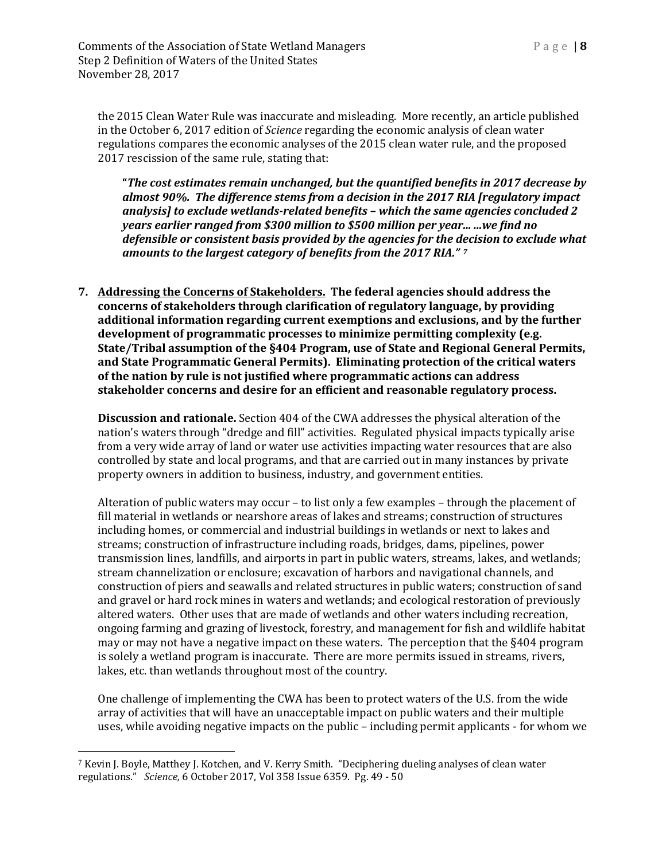the 2015 Clean Water Rule was inaccurate and misleading. More recently, an article published in the October 6, 2017 edition of *Science* regarding the economic analysis of clean water regulations compares the economic analyses of the 2015 clean water rule, and the proposed 2017 rescission of the same rule, stating that:

**"***The cost estimates remain unchanged, but the quantified benefits in 2017 decrease by almost 90%. The difference stems from a decision in the 2017 RIA [regulatory impact analysis] to exclude wetlands-related benefits – which the same agencies concluded 2 years earlier ranged from \$300 million to \$500 million per year... ...we find no defensible or consistent basis provided by the agencies for the decision to exclude what amounts to the largest category of benefits from the 2017 RIA." [7](#page-7-0)*

**7. Addressing the Concerns of Stakeholders. The federal agencies should address the concerns of stakeholders through clarification of regulatory language, by providing additional information regarding current exemptions and exclusions, and by the further development of programmatic processes to minimize permitting complexity (e.g. State/Tribal assumption of the §404 Program, use of State and Regional General Permits, and State Programmatic General Permits). Eliminating protection of the critical waters of the nation by rule is not justified where programmatic actions can address stakeholder concerns and desire for an efficient and reasonable regulatory process.**

**Discussion and rationale.** Section 404 of the CWA addresses the physical alteration of the nation's waters through "dredge and fill" activities. Regulated physical impacts typically arise from a very wide array of land or water use activities impacting water resources that are also controlled by state and local programs, and that are carried out in many instances by private property owners in addition to business, industry, and government entities.

Alteration of public waters may occur – to list only a few examples – through the placement of fill material in wetlands or nearshore areas of lakes and streams; construction of structures including homes, or commercial and industrial buildings in wetlands or next to lakes and streams; construction of infrastructure including roads, bridges, dams, pipelines, power transmission lines, landfills, and airports in part in public waters, streams, lakes, and wetlands; stream channelization or enclosure; excavation of harbors and navigational channels, and construction of piers and seawalls and related structures in public waters; construction of sand and gravel or hard rock mines in waters and wetlands; and ecological restoration of previously altered waters. Other uses that are made of wetlands and other waters including recreation, ongoing farming and grazing of livestock, forestry, and management for fish and wildlife habitat may or may not have a negative impact on these waters. The perception that the §404 program is solely a wetland program is inaccurate. There are more permits issued in streams, rivers, lakes, etc. than wetlands throughout most of the country.

One challenge of implementing the CWA has been to protect waters of the U.S. from the wide array of activities that will have an unacceptable impact on public waters and their multiple uses, while avoiding negative impacts on the public – including permit applicants - for whom we

<span id="page-7-0"></span> $\overline{a}$ <sup>7</sup> Kevin J. Boyle, Matthey J. Kotchen, and V. Kerry Smith. "Deciphering dueling analyses of clean water regulations." *Science,* 6 October 2017, Vol 358 Issue 6359. Pg. 49 - 50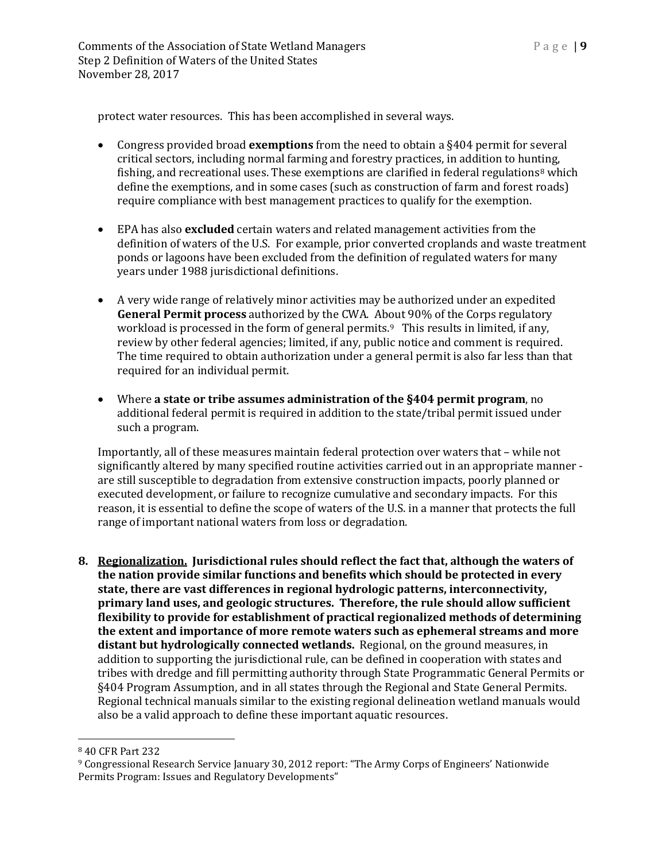protect water resources. This has been accomplished in several ways.

- Congress provided broad **exemptions** from the need to obtain a §404 permit for several critical sectors, including normal farming and forestry practices, in addition to hun[ti](#page-8-0)ng, fishing, and recreational uses. These exemptions are clarified in federal regulations<sup>8</sup> which define the exemptions, and in some cases (such as construction of farm and forest roads) require compliance with best management practices to qualify for the exemption.
- EPA has also **excluded** certain waters and related management activities from the definition of waters of the U.S. For example, prior converted croplands and waste treatment ponds or lagoons have been excluded from the definition of regulated waters for many years under 1988 jurisdictional definitions.
- A very wide range of relatively minor activities may be authorized under an expedited **General Permit process** authorized by the CWA. About 90% of the Corps regulatory workload is processed in the form of general permits.<sup>9</sup> This results in limited, if any, review by other federal agencies; limited, if any, public notice and comment is required. The time required to obtain authorization under a general permit is also far less than that required for an individual permit.
- Where **a state or tribe assumes administration of the §404 permit program**, no additional federal permit is required in addition to the state/tribal permit issued under such a program.

Importantly, all of these measures maintain federal protection over waters that – while not significantly altered by many specified routine activities carried out in an appropriate manner are still susceptible to degradation from extensive construction impacts, poorly planned or executed development, or failure to recognize cumulative and secondary impacts. For this reason, it is essential to define the scope of waters of the U.S. in a manner that protects the full range of important national waters from loss or degradation.

**8. Regionalization. Jurisdictional rules should reflect the fact that, although the waters of the nation provide similar functions and benefits which should be protected in every state, there are vast differences in regional hydrologic patterns, interconnectivity, primary land uses, and geologic structures. Therefore, the rule should allow sufficient flexibility to provide for establishment of practical regionalized methods of determining the extent and importance of more remote waters such as ephemeral streams and more distant but hydrologically connected wetlands.** Regional, on the ground measures, in addition to supporting the jurisdictional rule, can be defined in cooperation with states and tribes with dredge and fill permitting authority through State Programmatic General Permits or §404 Program Assumption, and in all states through the Regional and State General Permits. Regional technical manuals similar to the existing regional delineation wetland manuals would also be a valid approach to define these important aquatic resources.

 $\overline{a}$ 

<span id="page-8-0"></span><sup>8</sup> 40 CFR Part 232

<span id="page-8-1"></span><sup>9</sup> Congressional Research Service January 30, 2012 report: "The Army Corps of Engineers' Nationwide Permits Program: Issues and Regulatory Developments"